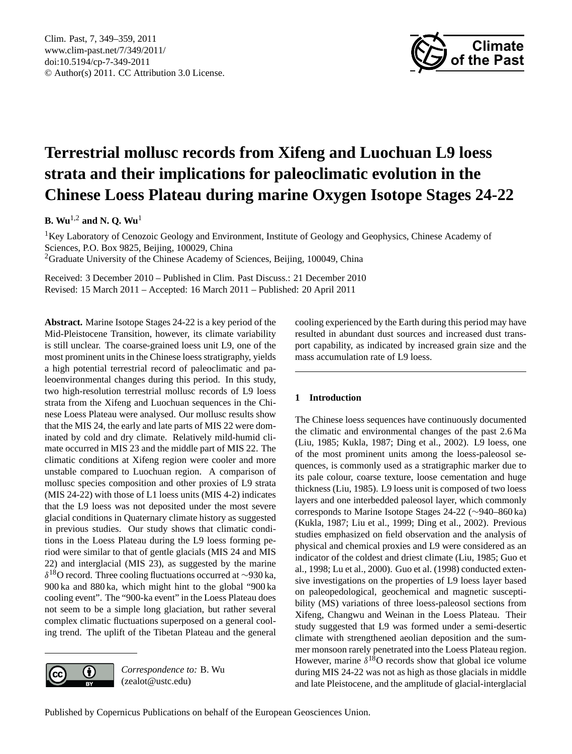<span id="page-0-0"></span>Clim. Past, 7, 349–359, 2011 www.clim-past.net/7/349/2011/ doi:10.5194/cp-7-349-2011 © Author(s) 2011. CC Attribution 3.0 License.



# **Terrestrial mollusc records from Xifeng and Luochuan L9 loess strata and their implications for paleoclimatic evolution in the Chinese Loess Plateau during marine Oxygen Isotope Stages 24-22**

**B. Wu**1,2 **and N. Q. Wu**<sup>1</sup>

<sup>1</sup>Key Laboratory of Cenozoic Geology and Environment, Institute of Geology and Geophysics, Chinese Academy of Sciences, P.O. Box 9825, Beijing, 100029, China <sup>2</sup>Graduate University of the Chinese Academy of Sciences, Beijing, 100049, China

Received: 3 December 2010 – Published in Clim. Past Discuss.: 21 December 2010 Revised: 15 March 2011 – Accepted: 16 March 2011 – Published: 20 April 2011

**Abstract.** Marine Isotope Stages 24-22 is a key period of the Mid-Pleistocene Transition, however, its climate variability is still unclear. The coarse-grained loess unit L9, one of the most prominent units in the Chinese loess stratigraphy, yields a high potential terrestrial record of paleoclimatic and paleoenvironmental changes during this period. In this study, two high-resolution terrestrial mollusc records of L9 loess strata from the Xifeng and Luochuan sequences in the Chinese Loess Plateau were analysed. Our mollusc results show that the MIS 24, the early and late parts of MIS 22 were dominated by cold and dry climate. Relatively mild-humid climate occurred in MIS 23 and the middle part of MIS 22. The climatic conditions at Xifeng region were cooler and more unstable compared to Luochuan region. A comparison of mollusc species composition and other proxies of L9 strata (MIS 24-22) with those of L1 loess units (MIS 4-2) indicates that the L9 loess was not deposited under the most severe glacial conditions in Quaternary climate history as suggested in previous studies. Our study shows that climatic conditions in the Loess Plateau during the L9 loess forming period were similar to that of gentle glacials (MIS 24 and MIS 22) and interglacial (MIS 23), as suggested by the marine  $\delta^{18}$ O record. Three cooling fluctuations occurred at ∼930 ka, 900 ka and 880 ka, which might hint to the global "900 ka cooling event". The "900-ka event" in the Loess Plateau does not seem to be a simple long glaciation, but rather several complex climatic fluctuations superposed on a general cooling trend. The uplift of the Tibetan Plateau and the general



*Correspondence to:* B. Wu (zealot@ustc.edu)

cooling experienced by the Earth during this period may have resulted in abundant dust sources and increased dust transport capability, as indicated by increased grain size and the mass accumulation rate of L9 loess.

# **1 Introduction**

The Chinese loess sequences have continuously documented the climatic and environmental changes of the past 2.6 Ma (Liu, 1985; Kukla, 1987; Ding et al., 2002). L9 loess, one of the most prominent units among the loess-paleosol sequences, is commonly used as a stratigraphic marker due to its pale colour, coarse texture, loose cementation and huge thickness (Liu, 1985). L9 loess unit is composed of two loess layers and one interbedded paleosol layer, which commonly corresponds to Marine Isotope Stages 24-22 (∼940–860 ka) (Kukla, 1987; Liu et al., 1999; Ding et al., 2002). Previous studies emphasized on field observation and the analysis of physical and chemical proxies and L9 were considered as an indicator of the coldest and driest climate (Liu, 1985; Guo et al., 1998; Lu et al., 2000). Guo et al. (1998) conducted extensive investigations on the properties of L9 loess layer based on paleopedological, geochemical and magnetic susceptibility (MS) variations of three loess-paleosol sections from Xifeng, Changwu and Weinan in the Loess Plateau. Their study suggested that L9 was formed under a semi-desertic climate with strengthened aeolian deposition and the summer monsoon rarely penetrated into the Loess Plateau region. However, marine  $\delta^{18}$ O records show that global ice volume during MIS 24-22 was not as high as those glacials in middle and late Pleistocene, and the amplitude of glacial-interglacial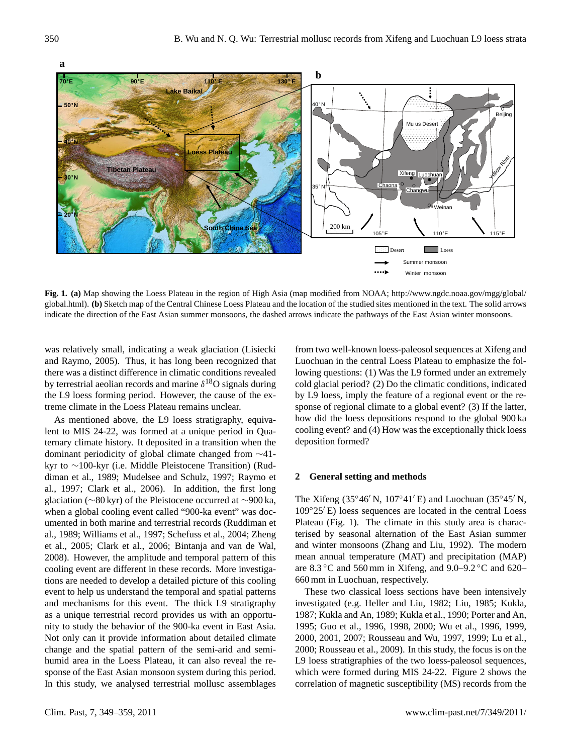



[global.html\)](http://www.ngdc.noaa.gov/mgg/global/global.html). **(b)** Sketch map of the Central Chinese Loess Plateau and the location of the studied sites mentioned in the text. The solid arrows **Fig. 1. (a)** Map showing the Loess Plateau in the region of High Asia (map modified from NOAA; [http://www.ngdc.noaa.gov/mgg/global/](http://www.ngdc.noaa.gov/mgg/global/global.html) indicate the direction of the East Asian summer monsoons, the dashed arrows indicate the pathways of the East Asian winter monsoons.

was relatively small, indicating a weak glaciation (Lisiecki and Raymo, 2005). Thus, it has long been recognized that there was a distinct difference in climatic conditions revealed by terrestrial aeolian records and marine  $\delta^{18}O$  signals during the L9 loess forming period. However, the cause of the extreme climate in the Loess Plateau remains unclear.

As mentioned above, the L9 loess stratigraphy, equivalent to MIS 24-22, was formed at a unique period in Quaternary climate history. It deposited in a transition when the dominant periodicity of global climate changed from ∼41 kyr to ∼100-kyr (i.e. Middle Pleistocene Transition) (Ruddiman et al., 1989; Mudelsee and Schulz, 1997; Raymo et al., 1997; Clark et al., 2006). In addition, the first long glaciation (∼80 kyr) of the Pleistocene occurred at ∼900 ka, when a global cooling event called "900-ka event" was documented in both marine and terrestrial records (Ruddiman et al., 1989; Williams et al., 1997; Schefuss et al., 2004; Zheng et al., 2005; Clark et al., 2006; Bintanja and van de Wal, 2008). However, the amplitude and temporal pattern of this cooling event are different in these records. More investigations are needed to develop a detailed picture of this cooling event to help us understand the temporal and spatial patterns and mechanisms for this event. The thick L9 stratigraphy as a unique terrestrial record provides us with an opportunity to study the behavior of the 900-ka event in East Asia. Not only can it provide information about detailed climate change and the spatial pattern of the semi-arid and semihumid area in the Loess Plateau, it can also reveal the response of the East Asian monsoon system during this period. In this study, we analysed terrestrial mollusc assemblages from two well-known loess-paleosol sequences at Xifeng and Luochuan in the central Loess Plateau to emphasize the following questions: (1) Was the L9 formed under an extremely cold glacial period? (2) Do the climatic conditions, indicated by L9 loess, imply the feature of a regional event or the response of regional climate to a global event? (3) If the latter, how did the loess depositions respond to the global 900 ka cooling event? and (4) How was the exceptionally thick loess deposition formed?

#### **2 General setting and methods**

The Xifeng (35°46′ N, 107°41′ E) and Luochuan (35°45′ N,  $109°25'E$ ) loess sequences are located in the central Loess Plateau (Fig. 1). The climate in this study area is characterised by seasonal alternation of the East Asian summer and winter monsoons (Zhang and Liu, 1992). The modern mean annual temperature (MAT) and precipitation (MAP) are  $8.3 \degree$ C and  $560 \text{ mm}$  in Xifeng, and  $9.0-9.2 \degree$ C and  $620-$ 660 mm in Luochuan, respectively.

These two classical loess sections have been intensively investigated (e.g. Heller and Liu, 1982; Liu, 1985; Kukla, 1987; Kukla and An, 1989; Kukla et al., 1990; Porter and An, 1995; Guo et al., 1996, 1998, 2000; Wu et al., 1996, 1999, 2000, 2001, 2007; Rousseau and Wu, 1997, 1999; Lu et al., 2000; Rousseau et al., 2009). In this study, the focus is on the L9 loess stratigraphies of the two loess-paleosol sequences, which were formed during MIS 24-22. Figure 2 shows the correlation of magnetic susceptibility (MS) records from the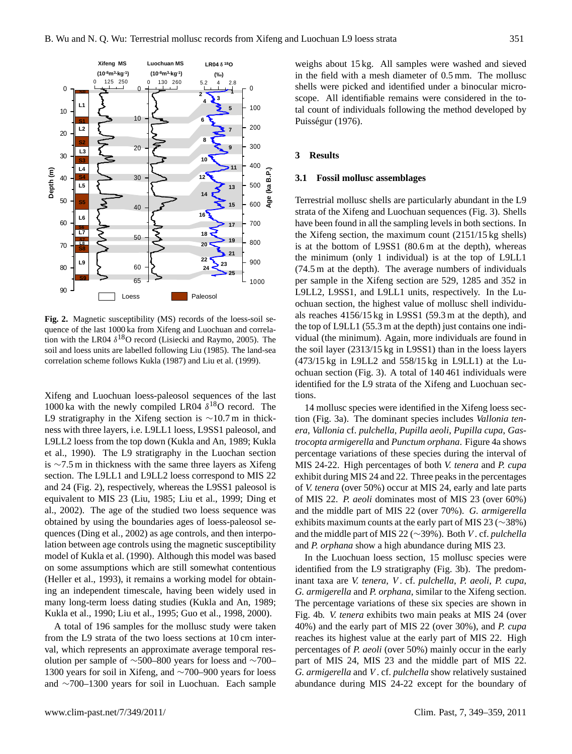

Fig. 2. **Fig. 2.** Magnetic susceptibility (MS) records of the loess-soil sequence of the last 1000 ka from Xifeng and Luochuan and correlation with the LR04  $\delta^{18}$ O record (Lisiecki and Raymo, 2005). The soil and loess units are labelled following Liu (1985). The land-sea correlation scheme follows Kukla (1987) and Liu et al. (1999).

Xifeng and Luochuan loess-paleosol sequences of the last 1000 ka with the newly compiled LR04  $\delta^{18}$ O record. The L9 stratigraphy in the Xifeng section is ∼10.7 m in thickness with three layers, i.e. L9LL1 loess, L9SS1 paleosol, and L9LL2 loess from the top down (Kukla and An, 1989; Kukla et al., 1990). The L9 stratigraphy in the Luochan section is ∼7.5 m in thickness with the same three layers as Xifeng section. The L9LL1 and L9LL2 loess correspond to MIS 22 and 24 (Fig. 2), respectively, whereas the L9SS1 paleosol is equivalent to MIS 23 (Liu, 1985; Liu et al., 1999; Ding et al., 2002). The age of the studied two loess sequence was obtained by using the boundaries ages of loess-paleosol sequences (Ding et al., 2002) as age controls, and then interpolation between age controls using the magnetic susceptibility model of Kukla et al. (1990). Although this model was based on some assumptions which are still somewhat contentious (Heller et al., 1993), it remains a working model for obtaining an independent timescale, having been widely used in many long-term loess dating studies (Kukla and An, 1989; Kukla et al., 1990; Liu et al., 1995; Guo et al., 1998, 2000).

A total of 196 samples for the mollusc study were taken from the L9 strata of the two loess sections at 10 cm interval, which represents an approximate average temporal resolution per sample of ∼500–800 years for loess and ∼700– 1300 years for soil in Xifeng, and ∼700–900 years for loess and ∼700–1300 years for soil in Luochuan. Each sample weighs about 15 kg. All samples were washed and sieved in the field with a mesh diameter of 0.5 mm. The mollusc shells were picked and identified under a binocular microscope. All identifiable remains were considered in the total count of individuals following the method developed by Puisségur (1976).

#### **3 Results**

#### **3.1 Fossil mollusc assemblages**

Terrestrial mollusc shells are particularly abundant in the L9 strata of the Xifeng and Luochuan sequences (Fig. 3). Shells have been found in all the sampling levels in both sections. In the Xifeng section, the maximum count (2151/15 kg shells) is at the bottom of L9SS1 (80.6 m at the depth), whereas the minimum (only 1 individual) is at the top of L9LL1 (74.5 m at the depth). The average numbers of individuals per sample in the Xifeng section are 529, 1285 and 352 in L9LL2, L9SS1, and L9LL1 units, respectively. In the Luochuan section, the highest value of mollusc shell individuals reaches 4156/15 kg in L9SS1 (59.3 m at the depth), and the top of L9LL1 (55.3 m at the depth) just contains one individual (the minimum). Again, more individuals are found in the soil layer (2313/15 kg in L9SS1) than in the loess layers (473/15 kg in L9LL2 and 558/15 kg in L9LL1) at the Luochuan section (Fig. 3). A total of 140 461 individuals were identified for the L9 strata of the Xifeng and Luochuan sections.

14 mollusc species were identified in the Xifeng loess section (Fig. 3a). The dominant species includes *Vallonia tenera*, *Vallonia* cf. *pulchella*, *Pupilla aeoli*, *Pupilla cupa*, *Gastrocopta armigerella* and *Punctum orphana*. Figure 4a shows percentage variations of these species during the interval of MIS 24-22. High percentages of both *V. tenera* and *P. cupa* exhibit during MIS 24 and 22. Three peaks in the percentages of *V. tenera* (over 50%) occur at MIS 24, early and late parts of MIS 22. *P. aeoli* dominates most of MIS 23 (over 60%) and the middle part of MIS 22 (over 70%). *G. armigerella* exhibits maximum counts at the early part of MIS 23 (∼38%) and the middle part of MIS 22 (∼39%). Both V . cf. *pulchella* and *P. orphana* show a high abundance during MIS 23.

In the Luochuan loess section, 15 mollusc species were identified from the L9 stratigraphy (Fig. 3b). The predominant taxa are *V. tenera*, V . cf. *pulchella*, *P. aeoli*, *P. cupa*, *G. armigerella* and *P. orphana*, similar to the Xifeng section. The percentage variations of these six species are shown in Fig. 4b. *V. tenera* exhibits two main peaks at MIS 24 (over 40%) and the early part of MIS 22 (over 30%), and *P. cupa* reaches its highest value at the early part of MIS 22. High percentages of *P. aeoli* (over 50%) mainly occur in the early part of MIS 24, MIS 23 and the middle part of MIS 22. *G. armigerella* and V . cf. *pulchella* show relatively sustained abundance during MIS 24-22 except for the boundary of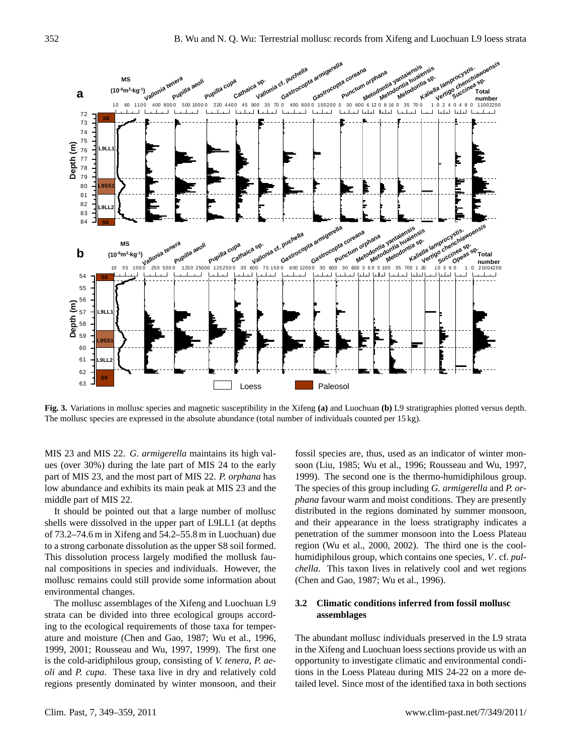

Fig. 3. **Fig. 3.** Variations in mollusc species and magnetic susceptibility in the Xifeng **(a)** and Luochuan **(b)** L9 stratigraphies plotted versus depth. The mollusc species are expressed in the absolute abundance (total number of individuals counted per 15 kg).

MIS 23 and MIS 22. *G. armigerella* maintains its high values (over 30%) during the late part of MIS 24 to the early part of MIS 23, and the most part of MIS 22. *P. orphana* has low abundance and exhibits its main peak at MIS 23 and the middle part of MIS 22.

It should be pointed out that a large number of mollusc shells were dissolved in the upper part of L9LL1 (at depths of 73.2–74.6 m in Xifeng and 54.2–55.8 m in Luochuan) due to a strong carbonate dissolution as the upper S8 soil formed. This dissolution process largely modified the mollusk faunal compositions in species and individuals. However, the mollusc remains could still provide some information about environmental changes.

The mollusc assemblages of the Xifeng and Luochuan L9 strata can be divided into three ecological groups according to the ecological requirements of those taxa for temperature and moisture (Chen and Gao, 1987; Wu et al., 1996, 1999, 2001; Rousseau and Wu, 1997, 1999). The first one is the cold-aridiphilous group, consisting of *V. tenera*, *P. aeoli* and *P. cupa*. These taxa live in dry and relatively cold regions presently dominated by winter monsoon, and their

fossil species are, thus, used as an indicator of winter monsoon (Liu, 1985; Wu et al., 1996; Rousseau and Wu, 1997, 1999). The second one is the thermo-humidiphilous group. The species of this group including *G. armigerella* and *P. orphana* favour warm and moist conditions. They are presently distributed in the regions dominated by summer monsoon, and their appearance in the loess stratigraphy indicates a penetration of the summer monsoon into the Loess Plateau region (Wu et al., 2000, 2002). The third one is the coolhumidiphilous group, which contains one species, V . cf. *pulchella*. This taxon lives in relatively cool and wet regions (Chen and Gao, 1987; Wu et al., 1996).

## **3.2 Climatic conditions inferred from fossil mollusc assemblages**

The abundant mollusc individuals preserved in the L9 strata in the Xifeng and Luochuan loess sections provide us with an opportunity to investigate climatic and environmental conditions in the Loess Plateau during MIS 24-22 on a more detailed level. Since most of the identified taxa in both sections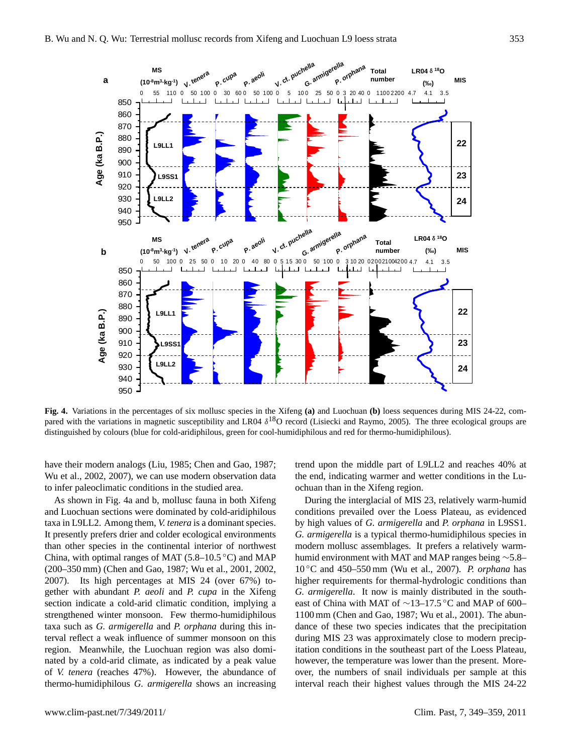

Fig. 4. **Fig. 4.** Variations in the percentages of six mollusc species in the Xifeng **(a)** and Luochuan **(b)** loess sequences during MIS 24-22, compared with the variations in magnetic susceptibility and LR04  $\delta^{18}O$  record (Lisiecki and Raymo, 2005). The three ecological groups are distinguished by colours (blue for cold-aridiphilous, green for cool-humidiphilous and red for thermo-humidiphilous).

have their modern analogs (Liu, 1985; Chen and Gao, 1987; Wu et al., 2002, 2007), we can use modern observation data to infer paleoclimatic conditions in the studied area.

As shown in Fig. 4a and b, mollusc fauna in both Xifeng and Luochuan sections were dominated by cold-aridiphilous taxa in L9LL2. Among them, *V. tenera* is a dominant species. It presently prefers drier and colder ecological environments than other species in the continental interior of northwest China, with optimal ranges of MAT (5.8–10.5 °C) and MAP (200–350 mm) (Chen and Gao, 1987; Wu et al., 2001, 2002, 2007). Its high percentages at MIS 24 (over 67%) together with abundant *P. aeoli* and *P. cupa* in the Xifeng section indicate a cold-arid climatic condition, implying a strengthened winter monsoon. Few thermo-humidiphilous taxa such as *G. armigerella* and *P. orphana* during this interval reflect a weak influence of summer monsoon on this region. Meanwhile, the Luochuan region was also dominated by a cold-arid climate, as indicated by a peak value of *V. tenera* (reaches 47%). However, the abundance of thermo-humidiphilous *G. armigerella* shows an increasing trend upon the middle part of L9LL2 and reaches 40% at the end, indicating warmer and wetter conditions in the Luochuan than in the Xifeng region.

During the interglacial of MIS 23, relatively warm-humid conditions prevailed over the Loess Plateau, as evidenced by high values of *G. armigerella* and *P. orphana* in L9SS1. *G. armigerella* is a typical thermo-humidiphilous species in modern mollusc assemblages. It prefers a relatively warmhumid environment with MAT and MAP ranges being ∼5.8– 10 ◦C and 450–550 mm (Wu et al., 2007). *P. orphana* has higher requirements for thermal-hydrologic conditions than *G. armigerella*. It now is mainly distributed in the southeast of China with MAT of ∼13–17.5 ◦C and MAP of 600– 1100 mm (Chen and Gao, 1987; Wu et al., 2001). The abundance of these two species indicates that the precipitation during MIS 23 was approximately close to modern precipitation conditions in the southeast part of the Loess Plateau, however, the temperature was lower than the present. Moreover, the numbers of snail individuals per sample at this interval reach their highest values through the MIS 24-22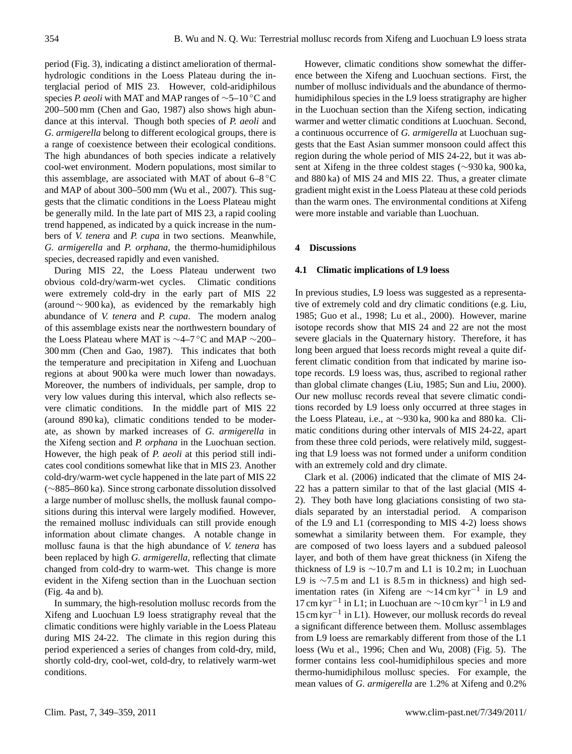period (Fig. 3), indicating a distinct amelioration of thermalhydrologic conditions in the Loess Plateau during the interglacial period of MIS 23. However, cold-aridiphilous species *P. aeoli* with MAT and MAP ranges of ∼5–10 ◦C and 200–500 mm (Chen and Gao, 1987) also shows high abundance at this interval. Though both species of *P. aeoli* and *G. armigerella* belong to different ecological groups, there is a range of coexistence between their ecological conditions. The high abundances of both species indicate a relatively cool-wet environment. Modern populations, most similar to this assemblage, are associated with MAT of about  $6-8$  °C and MAP of about 300–500 mm (Wu et al., 2007). This suggests that the climatic conditions in the Loess Plateau might be generally mild. In the late part of MIS 23, a rapid cooling trend happened, as indicated by a quick increase in the numbers of *V. tenera* and *P. cupa* in two sections. Meanwhile, *G. armigerella* and *P. orphana*, the thermo-humidiphilous species, decreased rapidly and even vanished.

During MIS 22, the Loess Plateau underwent two obvious cold-dry/warm-wet cycles. Climatic conditions were extremely cold-dry in the early part of MIS 22 (around ∼ 900 ka), as evidenced by the remarkably high abundance of *V. tenera* and *P. cupa*. The modern analog of this assemblage exists near the northwestern boundary of the Loess Plateau where MAT is ∼4–7 ◦C and MAP ∼200– 300 mm (Chen and Gao, 1987). This indicates that both the temperature and precipitation in Xifeng and Luochuan regions at about 900 ka were much lower than nowadays. Moreover, the numbers of individuals, per sample, drop to very low values during this interval, which also reflects severe climatic conditions. In the middle part of MIS 22 (around 890 ka), climatic conditions tended to be moderate, as shown by marked increases of *G. armigerella* in the Xifeng section and *P. orphana* in the Luochuan section. However, the high peak of *P. aeoli* at this period still indicates cool conditions somewhat like that in MIS 23. Another cold-dry/warm-wet cycle happened in the late part of MIS 22 (∼885–860 ka). Since strong carbonate dissolution dissolved a large number of mollusc shells, the mollusk faunal compositions during this interval were largely modified. However, the remained mollusc individuals can still provide enough information about climate changes. A notable change in mollusc fauna is that the high abundance of *V. tenera* has been replaced by high *G. armigerella*, reflecting that climate changed from cold-dry to warm-wet. This change is more evident in the Xifeng section than in the Luochuan section (Fig. 4a and b).

In summary, the high-resolution mollusc records from the Xifeng and Luochuan L9 loess stratigraphy reveal that the climatic conditions were highly variable in the Loess Plateau during MIS 24-22. The climate in this region during this period experienced a series of changes from cold-dry, mild, shortly cold-dry, cool-wet, cold-dry, to relatively warm-wet conditions.

However, climatic conditions show somewhat the difference between the Xifeng and Luochuan sections. First, the number of mollusc individuals and the abundance of thermohumidiphilous species in the L9 loess stratigraphy are higher in the Luochuan section than the Xifeng section, indicating warmer and wetter climatic conditions at Luochuan. Second, a continuous occurrence of *G. armigerella* at Luochuan suggests that the East Asian summer monsoon could affect this region during the whole period of MIS 24-22, but it was absent at Xifeng in the three coldest stages (∼930 ka, 900 ka, and 880 ka) of MIS 24 and MIS 22. Thus, a greater climate gradient might exist in the Loess Plateau at these cold periods than the warm ones. The environmental conditions at Xifeng were more instable and variable than Luochuan.

#### **4 Discussions**

#### **4.1 Climatic implications of L9 loess**

In previous studies, L9 loess was suggested as a representative of extremely cold and dry climatic conditions (e.g. Liu, 1985; Guo et al., 1998; Lu et al., 2000). However, marine isotope records show that MIS 24 and 22 are not the most severe glacials in the Quaternary history. Therefore, it has long been argued that loess records might reveal a quite different climatic condition from that indicated by marine isotope records. L9 loess was, thus, ascribed to regional rather than global climate changes (Liu, 1985; Sun and Liu, 2000). Our new mollusc records reveal that severe climatic conditions recorded by L9 loess only occurred at three stages in the Loess Plateau, i.e., at ∼930 ka, 900 ka and 880 ka. Climatic conditions during other intervals of MIS 24-22, apart from these three cold periods, were relatively mild, suggesting that L9 loess was not formed under a uniform condition with an extremely cold and dry climate.

Clark et al. (2006) indicated that the climate of MIS 24- 22 has a pattern similar to that of the last glacial (MIS 4- 2). They both have long glaciations consisting of two stadials separated by an interstadial period. A comparison of the L9 and L1 (corresponding to MIS 4-2) loess shows somewhat a similarity between them. For example, they are composed of two loess layers and a subdued paleosol layer, and both of them have great thickness (in Xifeng the thickness of L9 is  $∼10.7$  m and L1 is 10.2 m; in Luochuan L9 is  $\sim$ 7.5 m and L1 is 8.5 m in thickness) and high sedimentation rates (in Xifeng are  $\sim$ 14 cm kyr<sup>-1</sup> in L9 and 17 cm kyr−<sup>1</sup> in L1; in Luochuan are ∼10 cm kyr−<sup>1</sup> in L9 and 15 cm kyr−<sup>1</sup> in L1). However, our mollusk records do reveal a significant difference between them. Mollusc assemblages from L9 loess are remarkably different from those of the L1 loess (Wu et al., 1996; Chen and Wu, 2008) (Fig. 5). The former contains less cool-humidiphilous species and more thermo-humidiphilous mollusc species. For example, the mean values of *G. armigerella* are 1.2% at Xifeng and 0.2%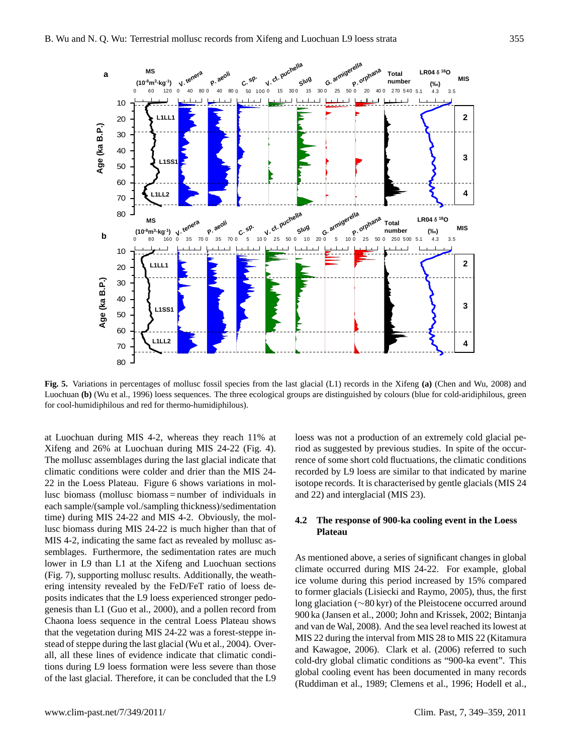

Fig. 5. **Fig. 5.** Variations in percentages of mollusc fossil species from the last glacial (L1) records in the Xifeng **(a)** (Chen and Wu, 2008) and Luochuan **(b)** (Wu et al., 1996) loess sequences. The three ecological groups are distinguished by colours (blue for cold-aridiphilous, green for cool-humidiphilous and red for thermo-humidiphilous).

at Luochuan during MIS 4-2, whereas they reach 11% at Xifeng and 26% at Luochuan during MIS 24-22 (Fig. 4). The mollusc assemblages during the last glacial indicate that climatic conditions were colder and drier than the MIS 24- 22 in the Loess Plateau. Figure 6 shows variations in mollusc biomass (mollusc biomass = number of individuals in each sample/(sample vol./sampling thickness)/sedimentation time) during MIS 24-22 and MIS 4-2. Obviously, the mollusc biomass during MIS 24-22 is much higher than that of MIS 4-2, indicating the same fact as revealed by mollusc assemblages. Furthermore, the sedimentation rates are much lower in L9 than L1 at the Xifeng and Luochuan sections (Fig. 7), supporting mollusc results. Additionally, the weathering intensity revealed by the FeD/FeT ratio of loess deposits indicates that the L9 loess experienced stronger pedogenesis than L1 (Guo et al., 2000), and a pollen record from Chaona loess sequence in the central Loess Plateau shows that the vegetation during MIS 24-22 was a forest-steppe instead of steppe during the last glacial (Wu et al., 2004). Overall, all these lines of evidence indicate that climatic conditions during L9 loess formation were less severe than those of the last glacial. Therefore, it can be concluded that the L9 loess was not a production of an extremely cold glacial period as suggested by previous studies. In spite of the occurrence of some short cold fluctuations, the climatic conditions recorded by L9 loess are similar to that indicated by marine isotope records. It is characterised by gentle glacials (MIS 24 and 22) and interglacial (MIS 23).

## **4.2 The response of 900-ka cooling event in the Loess Plateau**

As mentioned above, a series of significant changes in global climate occurred during MIS 24-22. For example, global ice volume during this period increased by 15% compared to former glacials (Lisiecki and Raymo, 2005), thus, the first long glaciation (∼80 kyr) of the Pleistocene occurred around 900 ka (Jansen et al., 2000; John and Krissek, 2002; Bintanja and van de Wal, 2008). And the sea level reached its lowest at MIS 22 during the interval from MIS 28 to MIS 22 (Kitamura and Kawagoe, 2006). Clark et al. (2006) referred to such cold-dry global climatic conditions as "900-ka event". This global cooling event has been documented in many records (Ruddiman et al., 1989; Clemens et al., 1996; Hodell et al.,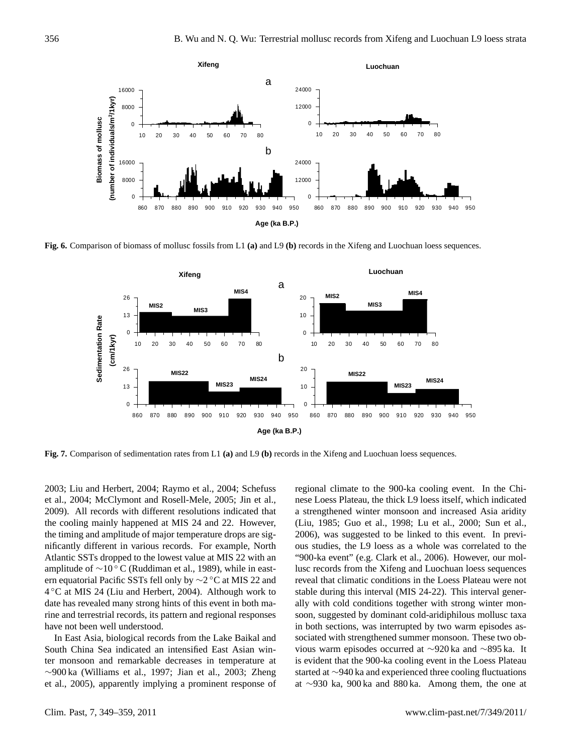

Fig. 6. **Fig. 6.** Comparison of biomass of mollusc fossils from L1 **(a)** and L9 **(b)** records in the Xifeng and Luochuan loess sequences.



Fig. 7. **Fig. 7.** Comparison of sedimentation rates from L1 **(a)** and L9 **(b)** records in the Xifeng and Luochuan loess sequences.

2003; Liu and Herbert, 2004; Raymo et al., 2004; Schefuss et al., 2004; McClymont and Rosell-Mele, 2005; Jin et al., 2009). All records with different resolutions indicated that the cooling mainly happened at MIS 24 and 22. However, the timing and amplitude of major temperature drops are significantly different in various records. For example, North Atlantic SSTs dropped to the lowest value at MIS 22 with an amplitude of  $\sim$ 10 ° C (Ruddiman et al., 1989), while in eastern equatorial Pacific SSTs fell only by ∼2 ◦C at MIS 22 and 4 ◦C at MIS 24 (Liu and Herbert, 2004). Although work to date has revealed many strong hints of this event in both marine and terrestrial records, its pattern and regional responses have not been well understood.

In East Asia, biological records from the Lake Baikal and South China Sea indicated an intensified East Asian winter monsoon and remarkable decreases in temperature at ∼900 ka (Williams et al., 1997; Jian et al., 2003; Zheng et al., 2005), apparently implying a prominent response of regional climate to the 900-ka cooling event. In the Chinese Loess Plateau, the thick L9 loess itself, which indicated a strengthened winter monsoon and increased Asia aridity (Liu, 1985; Guo et al., 1998; Lu et al., 2000; Sun et al., 2006), was suggested to be linked to this event. In previous studies, the L9 loess as a whole was correlated to the "900-ka event" (e.g. Clark et al., 2006). However, our mollusc records from the Xifeng and Luochuan loess sequences reveal that climatic conditions in the Loess Plateau were not stable during this interval (MIS 24-22). This interval generally with cold conditions together with strong winter monsoon, suggested by dominant cold-aridiphilous mollusc taxa in both sections, was interrupted by two warm episodes associated with strengthened summer monsoon. These two obvious warm episodes occurred at ∼920 ka and ∼895 ka. It is evident that the 900-ka cooling event in the Loess Plateau started at ∼940 ka and experienced three cooling fluctuations at ∼930 ka, 900 ka and 880 ka. Among them, the one at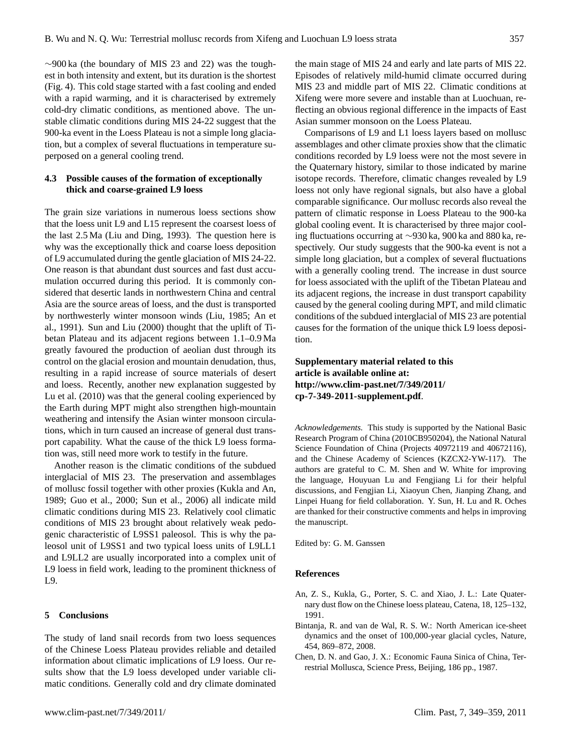∼900 ka (the boundary of MIS 23 and 22) was the toughest in both intensity and extent, but its duration is the shortest (Fig. 4). This cold stage started with a fast cooling and ended with a rapid warming, and it is characterised by extremely cold-dry climatic conditions, as mentioned above. The unstable climatic conditions during MIS 24-22 suggest that the 900-ka event in the Loess Plateau is not a simple long glaciation, but a complex of several fluctuations in temperature superposed on a general cooling trend.

## **4.3 Possible causes of the formation of exceptionally thick and coarse-grained L9 loess**

The grain size variations in numerous loess sections show that the loess unit L9 and L15 represent the coarsest loess of the last 2.5 Ma (Liu and Ding, 1993). The question here is why was the exceptionally thick and coarse loess deposition of L9 accumulated during the gentle glaciation of MIS 24-22. One reason is that abundant dust sources and fast dust accumulation occurred during this period. It is commonly considered that desertic lands in northwestern China and central Asia are the source areas of loess, and the dust is transported by northwesterly winter monsoon winds (Liu, 1985; An et al., 1991). Sun and Liu (2000) thought that the uplift of Tibetan Plateau and its adjacent regions between 1.1–0.9 Ma greatly favoured the production of aeolian dust through its control on the glacial erosion and mountain denudation, thus, resulting in a rapid increase of source materials of desert and loess. Recently, another new explanation suggested by Lu et al. (2010) was that the general cooling experienced by the Earth during MPT might also strengthen high-mountain weathering and intensify the Asian winter monsoon circulations, which in turn caused an increase of general dust transport capability. What the cause of the thick L9 loess formation was, still need more work to testify in the future.

Another reason is the climatic conditions of the subdued interglacial of MIS 23. The preservation and assemblages of mollusc fossil together with other proxies (Kukla and An, 1989; Guo et al., 2000; Sun et al., 2006) all indicate mild climatic conditions during MIS 23. Relatively cool climatic conditions of MIS 23 brought about relatively weak pedogenic characteristic of L9SS1 paleosol. This is why the paleosol unit of L9SS1 and two typical loess units of L9LL1 and L9LL2 are usually incorporated into a complex unit of L9 loess in field work, leading to the prominent thickness of L9.

#### **5 Conclusions**

The study of land snail records from two loess sequences of the Chinese Loess Plateau provides reliable and detailed information about climatic implications of L9 loess. Our results show that the L9 loess developed under variable climatic conditions. Generally cold and dry climate dominated the main stage of MIS 24 and early and late parts of MIS 22. Episodes of relatively mild-humid climate occurred during MIS 23 and middle part of MIS 22. Climatic conditions at Xifeng were more severe and instable than at Luochuan, reflecting an obvious regional difference in the impacts of East Asian summer monsoon on the Loess Plateau.

Comparisons of L9 and L1 loess layers based on mollusc assemblages and other climate proxies show that the climatic conditions recorded by L9 loess were not the most severe in the Quaternary history, similar to those indicated by marine isotope records. Therefore, climatic changes revealed by L9 loess not only have regional signals, but also have a global comparable significance. Our mollusc records also reveal the pattern of climatic response in Loess Plateau to the 900-ka global cooling event. It is characterised by three major cooling fluctuations occurring at ∼930 ka, 900 ka and 880 ka, respectively. Our study suggests that the 900-ka event is not a simple long glaciation, but a complex of several fluctuations with a generally cooling trend. The increase in dust source for loess associated with the uplift of the Tibetan Plateau and its adjacent regions, the increase in dust transport capability caused by the general cooling during MPT, and mild climatic conditions of the subdued interglacial of MIS 23 are potential causes for the formation of the unique thick L9 loess deposition.

## **Supplementary material related to this article is available online at: [http://www.clim-past.net/7/349/2011/](http://www.clim-past.net/7/349/2011/cp-7-349-2011-supplement.pdf) [cp-7-349-2011-supplement.pdf](http://www.clim-past.net/7/349/2011/cp-7-349-2011-supplement.pdf)**.

*Acknowledgements.* This study is supported by the National Basic Research Program of China (2010CB950204), the National Natural Science Foundation of China (Projects 40972119 and 40672116), and the Chinese Academy of Sciences (KZCX2-YW-117). The authors are grateful to C. M. Shen and W. White for improving the language, Houyuan Lu and Fengjiang Li for their helpful discussions, and Fengjian Li, Xiaoyun Chen, Jianping Zhang, and Linpei Huang for field collaboration. Y. Sun, H. Lu and R. Oches are thanked for their constructive comments and helps in improving the manuscript.

Edited by: G. M. Ganssen

#### **References**

- An, Z. S., Kukla, G., Porter, S. C. and Xiao, J. L.: Late Quaternary dust flow on the Chinese loess plateau, Catena, 18, 125–132, 1991.
- Bintanja, R. and van de Wal, R. S. W.: North American ice-sheet dynamics and the onset of 100,000-year glacial cycles, Nature, 454, 869–872, 2008.
- Chen, D. N. and Gao, J. X.: Economic Fauna Sinica of China, Terrestrial Mollusca, Science Press, Beijing, 186 pp., 1987.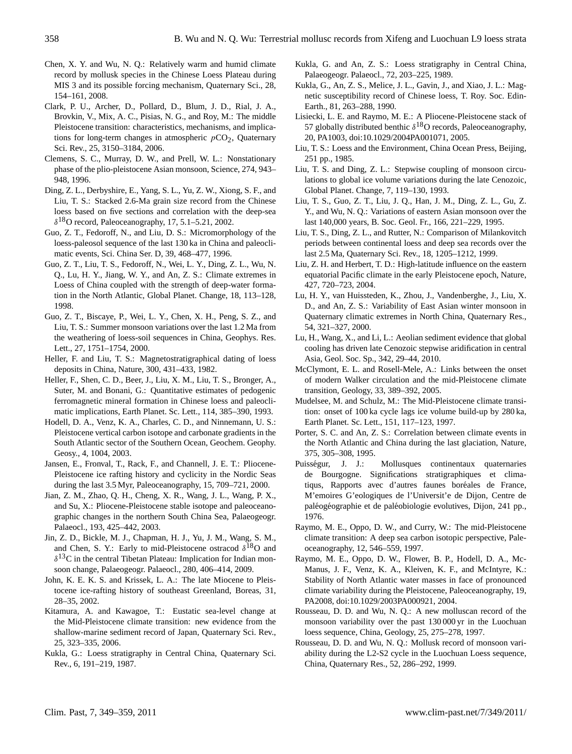- Chen, X. Y. and Wu, N. Q.: Relatively warm and humid climate record by mollusk species in the Chinese Loess Plateau during MIS 3 and its possible forcing mechanism, Quaternary Sci., 28, 154–161, 2008.
- Clark, P. U., Archer, D., Pollard, D., Blum, J. D., Rial, J. A., Brovkin, V., Mix, A. C., Pisias, N. G., and Roy, M.: The middle Pleistocene transition: characteristics, mechanisms, and implications for long-term changes in atmospheric  $pCO<sub>2</sub>$ , Quaternary Sci. Rev., 25, 3150–3184, 2006.
- Clemens, S. C., Murray, D. W., and Prell, W. L.: Nonstationary phase of the plio-pleistocene Asian monsoon, Science, 274, 943– 948, 1996.
- Ding, Z. L., Derbyshire, E., Yang, S. L., Yu, Z. W., Xiong, S. F., and Liu, T. S.: Stacked 2.6-Ma grain size record from the Chinese loess based on five sections and correlation with the deep-sea  $\delta^{18}$ O record, Paleoceanography, 17, 5.1–5.21, 2002.
- Guo, Z. T., Fedoroff, N., and Liu, D. S.: Micromorphology of the loess-paleosol sequence of the last 130 ka in China and paleoclimatic events, Sci. China Ser. D, 39, 468–477, 1996.
- Guo, Z. T., Liu, T. S., Fedoroff, N., Wei, L. Y., Ding, Z. L., Wu, N. Q., Lu, H. Y., Jiang, W. Y., and An, Z. S.: Climate extremes in Loess of China coupled with the strength of deep-water formation in the North Atlantic, Global Planet. Change, 18, 113–128, 1998.
- Guo, Z. T., Biscaye, P., Wei, L. Y., Chen, X. H., Peng, S. Z., and Liu, T. S.: Summer monsoon variations over the last 1.2 Ma from the weathering of loess-soil sequences in China, Geophys. Res. Lett., 27, 1751–1754, 2000.
- Heller, F. and Liu, T. S.: Magnetostratigraphical dating of loess deposits in China, Nature, 300, 431–433, 1982.
- Heller, F., Shen, C. D., Beer, J., Liu, X. M., Liu, T. S., Bronger, A., Suter, M. and Bonani, G.: Quantitative estimates of pedogenic ferromagnetic mineral formation in Chinese loess and paleoclimatic implications, Earth Planet. Sc. Lett., 114, 385–390, 1993.
- Hodell, D. A., Venz, K. A., Charles, C. D., and Ninnemann, U. S.: Pleistocene vertical carbon isotope and carbonate gradients in the South Atlantic sector of the Southern Ocean, Geochem. Geophy. Geosy., 4, 1004, 2003.
- Jansen, E., Fronval, T., Rack, F., and Channell, J. E. T.: Pliocene-Pleistocene ice rafting history and cyclicity in the Nordic Seas during the last 3.5 Myr, Paleoceanography, 15, 709–721, 2000.
- Jian, Z. M., Zhao, Q. H., Cheng, X. R., Wang, J. L., Wang, P. X., and Su, X.: Pliocene-Pleistocene stable isotope and paleoceanographic changes in the northern South China Sea, Palaeogeogr. Palaeocl., 193, 425–442, 2003.
- Jin, Z. D., Bickle, M. J., Chapman, H. J., Yu, J. M., Wang, S. M., and Chen, S. Y.: Early to mid-Pleistocene ostracod  $\delta^{18}O$  and  $\delta^{13}$ C in the central Tibetan Plateau: Implication for Indian monsoon change, Palaeogeogr. Palaeocl., 280, 406–414, 2009.
- John, K. E. K. S. and Krissek, L. A.: The late Miocene to Pleistocene ice-rafting history of southeast Greenland, Boreas, 31, 28–35, 2002.
- Kitamura, A. and Kawagoe, T.: Eustatic sea-level change at the Mid-Pleistocene climate transition: new evidence from the shallow-marine sediment record of Japan, Quaternary Sci. Rev., 25, 323–335, 2006.
- Kukla, G.: Loess stratigraphy in Central China, Quaternary Sci. Rev., 6, 191–219, 1987.
- Kukla, G. and An, Z. S.: Loess stratigraphy in Central China, Palaeogeogr. Palaeocl., 72, 203–225, 1989.
- Kukla, G., An, Z. S., Melice, J. L., Gavin, J., and Xiao, J. L.: Magnetic susceptibility record of Chinese loess, T. Roy. Soc. Edin-Earth., 81, 263–288, 1990.
- Lisiecki, L. E. and Raymo, M. E.: A Pliocene-Pleistocene stack of 57 globally distributed benthic  $\delta^{18}$ O records, Paleoceanography, 20, PA1003, [doi:10.1029/2004PA001071,](http://dx.doi.org/10.1029/2004PA001071) 2005.
- Liu, T. S.: Loess and the Environment, China Ocean Press, Beijing, 251 pp., 1985.
- Liu, T. S. and Ding, Z. L.: Stepwise coupling of monsoon circulations to global ice volume variations during the late Cenozoic, Global Planet. Change, 7, 119–130, 1993.
- Liu, T. S., Guo, Z. T., Liu, J. Q., Han, J. M., Ding, Z. L., Gu, Z. Y., and Wu, N. Q.: Variations of eastern Asian monsoon over the last 140,000 years, B. Soc. Geol. Fr., 166, 221–229, 1995.
- Liu, T. S., Ding, Z. L., and Rutter, N.: Comparison of Milankovitch periods between continental loess and deep sea records over the last 2.5 Ma, Quaternary Sci. Rev., 18, 1205–1212, 1999.
- Liu, Z. H. and Herbert, T. D.: High-latitude influence on the eastern equatorial Pacific climate in the early Pleistocene epoch, Nature, 427, 720–723, 2004.
- Lu, H. Y., van Huissteden, K., Zhou, J., Vandenberghe, J., Liu, X. D., and An, Z. S.: Variability of East Asian winter monsoon in Quaternary climatic extremes in North China, Quaternary Res., 54, 321–327, 2000.
- Lu, H., Wang, X., and Li, L.: Aeolian sediment evidence that global cooling has driven late Cenozoic stepwise aridification in central Asia, Geol. Soc. Sp., 342, 29–44, 2010.
- McClymont, E. L. and Rosell-Mele, A.: Links between the onset of modern Walker circulation and the mid-Pleistocene climate transition, Geology, 33, 389–392, 2005.
- Mudelsee, M. and Schulz, M.: The Mid-Pleistocene climate transition: onset of 100 ka cycle lags ice volume build-up by 280 ka, Earth Planet. Sc. Lett., 151, 117–123, 1997.
- Porter, S. C. and An, Z. S.: Correlation between climate events in the North Atlantic and China during the last glaciation, Nature, 375, 305–308, 1995.
- Puisségur, J. J.: Mollusques continentaux quaternaries de Bourgogne. Significations stratigraphiques et climatiqus, Rapports avec d'autres faunes boréales de France, M'emoires G'eologiques de l'Universit'e de Dijon, Centre de paléogéographie et de paléobiologie evolutives, Dijon, 241 pp., 1976.
- Raymo, M. E., Oppo, D. W., and Curry, W.: The mid-Pleistocene climate transition: A deep sea carbon isotopic perspective, Paleoceanography, 12, 546–559, 1997.
- Raymo, M. E., Oppo, D. W., Flower, B. P., Hodell, D. A., Mc-Manus, J. F., Venz, K. A., Kleiven, K. F., and McIntyre, K.: Stability of North Atlantic water masses in face of pronounced climate variability during the Pleistocene, Paleoceanography, 19, PA2008, [doi:10.1029/2003PA000921,](http://dx.doi.org/10.1029/2003PA000921) 2004.
- Rousseau, D. D. and Wu, N. Q.: A new molluscan record of the monsoon variability over the past 130 000 yr in the Luochuan loess sequence, China, Geology, 25, 275–278, 1997.
- Rousseau, D. D. and Wu, N. Q.: Mollusk record of monsoon variability during the L2-S2 cycle in the Luochuan Loess sequence, China, Quaternary Res., 52, 286–292, 1999.